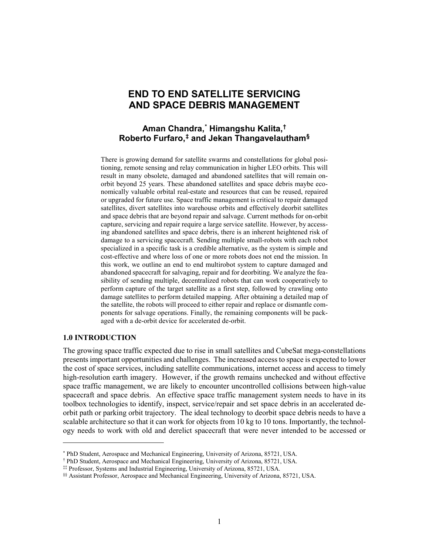# **END TO END SATELLITE SERVICING AND SPACE DEBRIS MANAGEMENT**

## **Aman Chandra, [\\*](#page-0-0) Himangshu Kalita, [†](#page-0-1) Roberto Furfaro, [‡](#page-0-2) and Jekan Thangavelautham[§](#page-0-3)**

There is growing demand for satellite swarms and constellations for global positioning, remote sensing and relay communication in higher LEO orbits. This will result in many obsolete, damaged and abandoned satellites that will remain onorbit beyond 25 years. These abandoned satellites and space debris maybe economically valuable orbital real-estate and resources that can be reused, repaired or upgraded for future use. Space traffic management is critical to repair damaged satellites, divert satellites into warehouse orbits and effectively deorbit satellites and space debris that are beyond repair and salvage. Current methods for on-orbit capture, servicing and repair require a large service satellite. However, by accessing abandoned satellites and space debris, there is an inherent heightened risk of damage to a servicing spacecraft. Sending multiple small-robots with each robot specialized in a specific task is a credible alternative, as the system is simple and cost-effective and where loss of one or more robots does not end the mission. In this work, we outline an end to end multirobot system to capture damaged and abandoned spacecraft for salvaging, repair and for deorbiting. We analyze the feasibility of sending multiple, decentralized robots that can work cooperatively to perform capture of the target satellite as a first step, followed by crawling onto damage satellites to perform detailed mapping. After obtaining a detailed map of the satellite, the robots will proceed to either repair and replace or dismantle components for salvage operations. Finally, the remaining components will be packaged with a de-orbit device for accelerated de-orbit.

### **1.0 INTRODUCTION**

 $\overline{a}$ 

The growing space traffic expected due to rise in small satellites and CubeSat mega-constellations presents important opportunities and challenges. The increased access to space is expected to lower the cost of space services, including satellite communications, internet access and access to timely high-resolution earth imagery. However, if the growth remains unchecked and without effective space traffic management, we are likely to encounter uncontrolled collisions between high-value spacecraft and space debris. An effective space traffic management system needs to have in its toolbox technologies to identify, inspect, service/repair and set space debris in an accelerated deorbit path or parking orbit trajectory. The ideal technology to deorbit space debris needs to have a scalable architecture so that it can work for objects from 10 kg to 10 tons. Importantly, the technology needs to work with old and derelict spacecraft that were never intended to be accessed or

<sup>\*</sup> PhD Student, Aerospace and Mechanical Engineering, University of Arizona, 85721, USA.

<span id="page-0-2"></span><span id="page-0-1"></span><span id="page-0-0"></span><sup>†</sup> PhD Student, Aerospace and Mechanical Engineering, University of Arizona, 85721, USA.

<sup>‡‡</sup> Professor, Systems and Industrial Engineering, University of Arizona, 85721, USA.

<span id="page-0-3"></span><sup>§§</sup> Assistant Professor, Aerospace and Mechanical Engineering, University of Arizona, 85721, USA.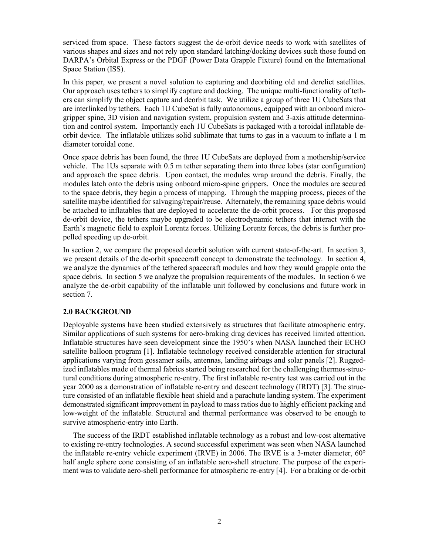serviced from space. These factors suggest the de-orbit device needs to work with satellites of various shapes and sizes and not rely upon standard latching/docking devices such those found on DARPA's Orbital Express or the PDGF (Power Data Grapple Fixture) found on the International Space Station (ISS).

In this paper, we present a novel solution to capturing and deorbiting old and derelict satellites. Our approach uses tethers to simplify capture and docking. The unique multi-functionality of tethers can simplify the object capture and deorbit task. We utilize a group of three 1U CubeSats that are interlinked by tethers. Each 1U CubeSat is fully autonomous, equipped with an onboard microgripper spine, 3D vision and navigation system, propulsion system and 3-axis attitude determination and control system. Importantly each 1U CubeSats is packaged with a toroidal inflatable deorbit device. The inflatable utilizes solid sublimate that turns to gas in a vacuum to inflate a 1 m diameter toroidal cone.

Once space debris has been found, the three 1U CubeSats are deployed from a mothership/service vehicle. The 1Us separate with 0.5 m tether separating them into three lobes (star configuration) and approach the space debris. Upon contact, the modules wrap around the debris. Finally, the modules latch onto the debris using onboard micro-spine grippers. Once the modules are secured to the space debris, they begin a process of mapping. Through the mapping process, pieces of the satellite maybe identified for salvaging/repair/reuse. Alternately, the remaining space debris would be attached to inflatables that are deployed to accelerate the de-orbit process. For this proposed de-orbit device, the tethers maybe upgraded to be electrodynamic tethers that interact with the Earth's magnetic field to exploit Lorentz forces. Utilizing Lorentz forces, the debris is further propelled speeding up de-orbit.

In section 2, we compare the proposed deorbit solution with current state-of-the-art. In section 3, we present details of the de-orbit spacecraft concept to demonstrate the technology. In section 4, we analyze the dynamics of the tethered spacecraft modules and how they would grapple onto the space debris. In section 5 we analyze the propulsion requirements of the modules. In section 6 we analyze the de-orbit capability of the inflatable unit followed by conclusions and future work in section 7.

## **2.0 BACKGROUND**

Deployable systems have been studied extensively as structures that facilitate atmospheric entry. Similar applications of such systems for aero-braking drag devices has received limited attention. Inflatable structures have seen development since the 1950's when NASA launched their ECHO satellite balloon program [1]. Inflatable technology received considerable attention for structural applications varying from gossamer sails, antennas, landing airbags and solar panels [2]. Ruggedized inflatables made of thermal fabrics started being researched for the challenging thermos-structural conditions during atmospheric re-entry. The first inflatable re-entry test was carried out in the year 2000 as a demonstration of inflatable re-entry and descent technology (IRDT) [3]. The structure consisted of an inflatable flexible heat shield and a parachute landing system. The experiment demonstrated significant improvement in payload to mass ratios due to highly efficient packing and low-weight of the inflatable. Structural and thermal performance was observed to be enough to survive atmospheric-entry into Earth.

The success of the IRDT established inflatable technology as a robust and low-cost alternative to existing re-entry technologies. A second successful experiment was seen when NASA launched the inflatable re-entry vehicle experiment (IRVE) in 2006. The IRVE is a 3-meter diameter,  $60^{\circ}$ half angle sphere cone consisting of an inflatable aero-shell structure. The purpose of the experiment was to validate aero-shell performance for atmospheric re-entry [4]. For a braking or de-orbit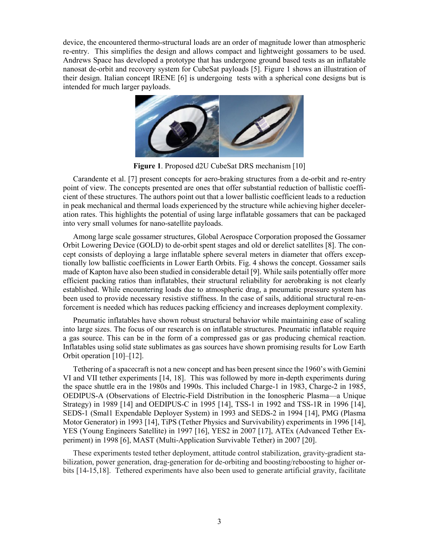device, the encountered thermo-structural loads are an order of magnitude lower than atmospheric re-entry. This simplifies the design and allows compact and lightweight gossamers to be used. Andrews Space has developed a prototype that has undergone ground based tests as an inflatable nanosat de-orbit and recovery system for CubeSat payloads [5]. Figure 1 shows an illustration of their design. Italian concept IRENE [6] is undergoing tests with a spherical cone designs but is intended for much larger payloads.



**Figure 1**. Proposed d2U CubeSat DRS mechanism [10]

Carandente et al. [7] present concepts for aero-braking structures from a de-orbit and re-entry point of view. The concepts presented are ones that offer substantial reduction of ballistic coefficient of these structures. The authors point out that a lower ballistic coefficient leads to a reduction in peak mechanical and thermal loads experienced by the structure while achieving higher deceleration rates. This highlights the potential of using large inflatable gossamers that can be packaged into very small volumes for nano-satellite payloads.

Among large scale gossamer structures, Global Aerospace Corporation proposed the Gossamer Orbit Lowering Device (GOLD) to de-orbit spent stages and old or derelict satellites [8]. The concept consists of deploying a large inflatable sphere several meters in diameter that offers exceptionally low ballistic coefficients in Lower Earth Orbits. Fig. 4 shows the concept. Gossamer sails made of Kapton have also been studied in considerable detail [9]. While sails potentially offer more efficient packing ratios than inflatables, their structural reliability for aerobraking is not clearly established. While encountering loads due to atmospheric drag, a pneumatic pressure system has been used to provide necessary resistive stiffness. In the case of sails, additional structural re-enforcement is needed which has reduces packing efficiency and increases deployment complexity.

Pneumatic inflatables have shown robust structural behavior while maintaining ease of scaling into large sizes. The focus of our research is on inflatable structures. Pneumatic inflatable require a gas source. This can be in the form of a compressed gas or gas producing chemical reaction. Inflatables using solid state sublimates as gas sources have shown promising results for Low Earth Orbit operation [10]–[12].

Tethering of a spacecraft is not a new concept and has been present since the 1960's with Gemini VI and VII tether experiments [14, 18]. This was followed by more in-depth experiments during the space shuttle era in the 1980s and 1990s. This included Charge-1 in 1983, Charge-2 in 1985, OEDIPUS-A (Observations of Electric-Field Distribution in the Ionospheric Plasma—a Unique Strategy) in 1989 [14] and OEDIPUS-C in 1995 [14], TSS-1 in 1992 and TSS-1R in 1996 [14], SEDS-1 (Smal1 Expendable Deployer System) in 1993 and SEDS-2 in 1994 [14], PMG (Plasma Motor Generator) in 1993 [14], TiPS (Tether Physics and Survivability) experiments in 1996 [14], YES (Young Engineers Satellite) in 1997 [16], YES2 in 2007 [17], ATEx (Advanced Tether Experiment) in 1998 [6], MAST (Multi-Application Survivable Tether) in 2007 [20].

These experiments tested tether deployment, attitude control stabilization, gravity-gradient stabilization, power generation, drag-generation for de-orbiting and boosting/reboosting to higher orbits [14-15,18]. Tethered experiments have also been used to generate artificial gravity, facilitate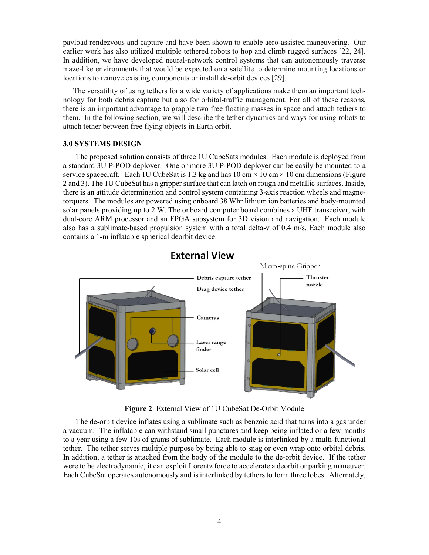payload rendezvous and capture and have been shown to enable aero-assisted maneuvering. Our earlier work has also utilized multiple tethered robots to hop and climb rugged surfaces [22, 24]. In addition, we have developed neural-network control systems that can autonomously traverse maze-like environments that would be expected on a satellite to determine mounting locations or locations to remove existing components or install de-orbit devices [29].

The versatility of using tethers for a wide variety of applications make them an important technology for both debris capture but also for orbital-traffic management. For all of these reasons, there is an important advantage to grapple two free floating masses in space and attach tethers to them. In the following section, we will describe the tether dynamics and ways for using robots to attach tether between free flying objects in Earth orbit.

### **3.0 SYSTEMS DESIGN**

The proposed solution consists of three 1U CubeSats modules. Each module is deployed from a standard 3U P-POD deployer. One or more 3U P-POD deployer can be easily be mounted to a service spacecraft. Each 1U CubeSat is 1.3 kg and has  $10 \text{ cm} \times 10 \text{ cm} \times 10 \text{ cm}$  dimensions (Figure 2 and 3). The 1U CubeSat has a gripper surface that can latch on rough and metallic surfaces. Inside, there is an attitude determination and control system containing 3-axis reaction wheels and magnetorquers. The modules are powered using onboard 38 Whr lithium ion batteries and body-mounted solar panels providing up to 2 W. The onboard computer board combines a UHF transceiver, with dual-core ARM processor and an FPGA subsystem for 3D vision and navigation. Each module also has a sublimate-based propulsion system with a total delta-v of 0.4 m/s. Each module also contains a 1-m inflatable spherical deorbit device.



# **External View**

**Figure 2**. External View of 1U CubeSat De-Orbit Module

The de-orbit device inflates using a sublimate such as benzoic acid that turns into a gas under a vacuum. The inflatable can withstand small punctures and keep being inflated or a few months to a year using a few 10s of grams of sublimate. Each module is interlinked by a multi-functional tether. The tether serves multiple purpose by being able to snag or even wrap onto orbital debris. In addition, a tether is attached from the body of the module to the de-orbit device. If the tether were to be electrodynamic, it can exploit Lorentz force to accelerate a deorbit or parking maneuver. Each CubeSat operates autonomously and is interlinked by tethers to form three lobes. Alternately,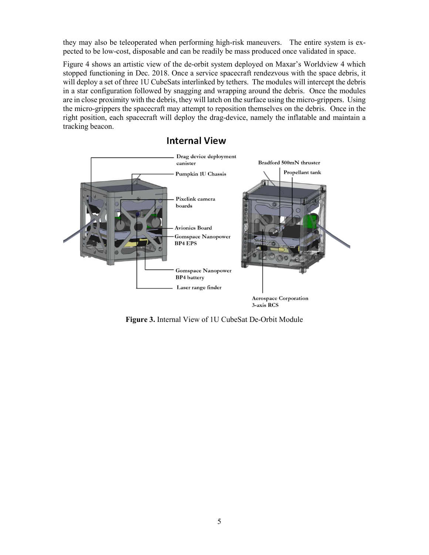they may also be teleoperated when performing high-risk maneuvers. The entire system is expected to be low-cost, disposable and can be readily be mass produced once validated in space.

Figure 4 shows an artistic view of the de-orbit system deployed on Maxar's Worldview 4 which stopped functioning in Dec. 2018. Once a service spacecraft rendezvous with the space debris, it will deploy a set of three 1U CubeSats interlinked by tethers. The modules will intercept the debris in a star configuration followed by snagging and wrapping around the debris. Once the modules are in close proximity with the debris, they will latch on the surface using the micro-grippers. Using the micro-grippers the spacecraft may attempt to reposition themselves on the debris. Once in the right position, each spacecraft will deploy the drag-device, namely the inflatable and maintain a tracking beacon.

# **Internal View**



**Figure 3.** Internal View of 1U CubeSat De-Orbit Module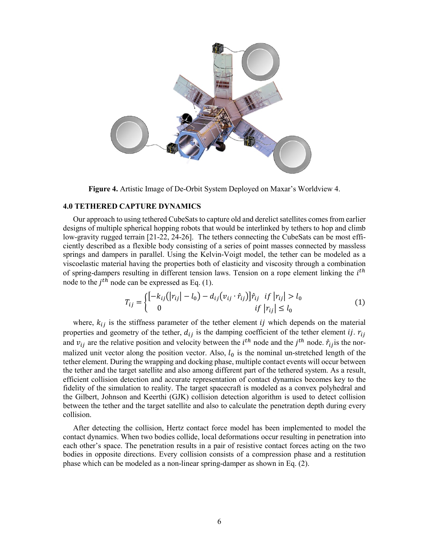

**Figure 4.** Artistic Image of De-Orbit System Deployed on Maxar's Worldview 4.

### **4.0 TETHERED CAPTURE DYNAMICS**

Our approach to using tethered CubeSats to capture old and derelict satellites comes from earlier designs of multiple spherical hopping robots that would be interlinked by tethers to hop and climb low-gravity rugged terrain [21-22, 24-26]. The tethers connecting the CubeSats can be most efficiently described as a flexible body consisting of a series of point masses connected by massless springs and dampers in parallel. Using the Kelvin-Voigt model, the tether can be modeled as a viscoelastic material having the properties both of elasticity and viscosity through a combination of spring-dampers resulting in different tension laws. Tension on a rope element linking the  $i<sup>th</sup>$ node to the  $i^{th}$  node can be expressed as Eq. (1).

$$
T_{ij} = \begin{cases} \left[ -k_{ij} (|r_{ij}| - l_0) - d_{ij} (v_{ij} \cdot \hat{r}_{ij}) \right] \hat{r}_{ij} & \text{if } |r_{ij}| > l_0 \\ 0 & \text{if } |r_{ij}| \le l_0 \end{cases}
$$
(1)

where,  $k_{ij}$  is the stiffness parameter of the tether element *ij* which depends on the material properties and geometry of the tether,  $d_{ij}$  is the damping coefficient of the tether element *ij.*  $r_{ij}$ and  $v_{ij}$  are the relative position and velocity between the  $i^{th}$  node and the  $j^{th}$  node.  $\hat{r}_{ij}$  is the normalized unit vector along the position vector. Also,  $l_0$  is the nominal un-stretched length of the tether element. During the wrapping and docking phase, multiple contact events will occur between the tether and the target satellite and also among different part of the tethered system. As a result, efficient collision detection and accurate representation of contact dynamics becomes key to the fidelity of the simulation to reality. The target spacecraft is modeled as a convex polyhedral and the Gilbert, Johnson and Keerthi (GJK) collision detection algorithm is used to detect collision between the tether and the target satellite and also to calculate the penetration depth during every collision.

After detecting the collision, Hertz contact force model has been implemented to model the contact dynamics. When two bodies collide, local deformations occur resulting in penetration into each other's space. The penetration results in a pair of resistive contact forces acting on the two bodies in opposite directions. Every collision consists of a compression phase and a restitution phase which can be modeled as a non-linear spring-damper as shown in Eq. (2).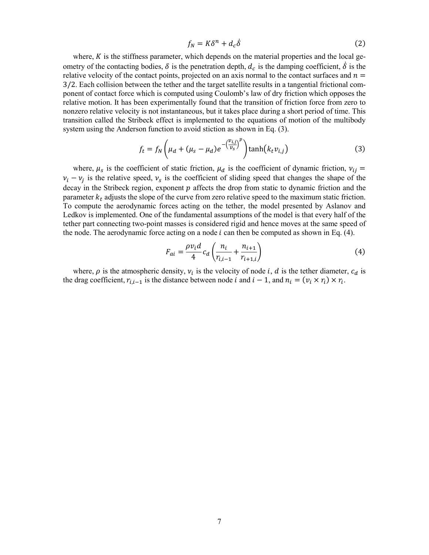$$
f_N = K\delta^n + d_c \dot{\delta} \tag{2}
$$

where,  $K$  is the stiffness parameter, which depends on the material properties and the local geometry of the contacting bodies,  $\delta$  is the penetration depth,  $d_c$  is the damping coefficient,  $\delta$  is the relative velocity of the contact points, projected on an axis normal to the contact surfaces and  $n =$ 3/2. Each collision between the tether and the target satellite results in a tangential frictional component of contact force which is computed using Coulomb's law of dry friction which opposes the relative motion. It has been experimentally found that the transition of friction force from zero to nonzero relative velocity is not instantaneous, but it takes place during a short period of time. This transition called the Stribeck effect is implemented to the equations of motion of the multibody system using the Anderson function to avoid stiction as shown in Eq. (3).

$$
f_t = f_N \left(\mu_d + (\mu_s - \mu_d)e^{-\left(\frac{\nu_{i,j}}{\nu_s}\right)^p}\right) \tanh\left(k_t \nu_{i,j}\right) \tag{3}
$$

where,  $\mu_s$  is the coefficient of static friction,  $\mu_d$  is the coefficient of dynamic friction,  $v_{ij}$  =  $v_i - v_j$  is the relative speed,  $v_s$  is the coefficient of sliding speed that changes the shape of the decay in the Stribeck region, exponent  $p$  affects the drop from static to dynamic friction and the parameter  $k_t$  adjusts the slope of the curve from zero relative speed to the maximum static friction. To compute the aerodynamic forces acting on the tether, the model presented by Aslanov and Ledkov is implemented. One of the fundamental assumptions of the model is that every half of the tether part connecting two-point masses is considered rigid and hence moves at the same speed of the node. The aerodynamic force acting on a node  $i$  can then be computed as shown in Eq. (4).

$$
F_{ai} = \frac{\rho v_i d}{4} c_d \left( \frac{n_i}{r_{i,i-1}} + \frac{n_{i+1}}{r_{i+1,i}} \right)
$$
(4)

where,  $\rho$  is the atmospheric density,  $v_i$  is the velocity of node *i*, *d* is the tether diameter,  $c_d$  is the drag coefficient,  $r_{i,i-1}$  is the distance between node *i* and  $i-1$ , and  $n_i = (v_i \times r_i) \times r_i$ .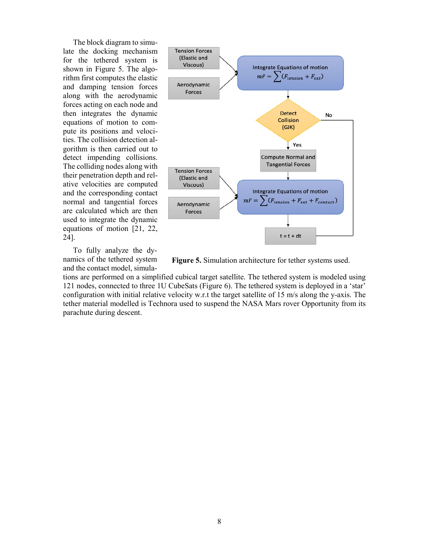The block diagram to simulate the docking mechanism for the tethered system is shown in Figure 5. The algorithm first computes the elastic and damping tension forces along with the aerodynamic forces acting on each node and then integrates the dynamic equations of motion to compute its positions and velocities. The collision detection algorithm is then carried out to detect impending collisions. The colliding nodes along with their penetration depth and relative velocities are computed and the corresponding contact normal and tangential forces are calculated which are then used to integrate the dynamic equations of motion [21, 22, 24].

To fully analyze the dynamics of the tethered system and the contact model, simula-



**Figure 5.** Simulation architecture for tether systems used.

tions are performed on a simplified cubical target satellite. The tethered system is modeled using 121 nodes, connected to three 1U CubeSats (Figure 6). The tethered system is deployed in a 'star' configuration with initial relative velocity w.r.t the target satellite of 15 m/s along the y-axis. The tether material modelled is Technora used to suspend the NASA Mars rover Opportunity from its parachute during descent.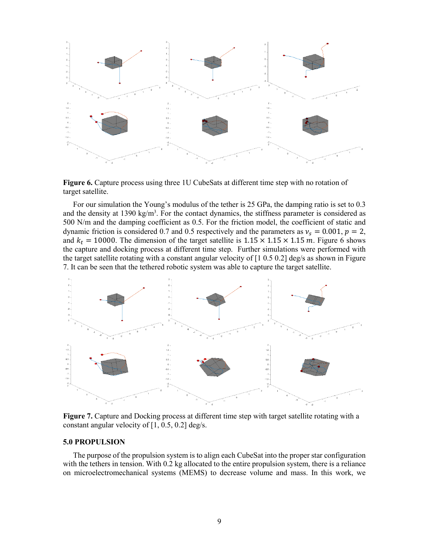

**Figure 6.** Capture process using three 1U CubeSats at different time step with no rotation of target satellite.

For our simulation the Young's modulus of the tether is 25 GPa, the damping ratio is set to 0.3 and the density at 1390 kg/m<sup>3</sup>. For the contact dynamics, the stiffness parameter is considered as 500 N/m and the damping coefficient as 0.5. For the friction model, the coefficient of static and dynamic friction is considered 0.7 and 0.5 respectively and the parameters as  $v_s = 0.001$ ,  $p = 2$ , and  $k_t = 10000$ . The dimension of the target satellite is  $1.15 \times 1.15 \times 1.15$  m. Figure 6 shows the capture and docking process at different time step. Further simulations were performed with the target satellite rotating with a constant angular velocity of [1 0.5 0.2] deg/s as shown in Figure 7. It can be seen that the tethered robotic system was able to capture the target satellite.



**Figure 7.** Capture and Docking process at different time step with target satellite rotating with a constant angular velocity of  $[1, 0.5, 0.2]$  deg/s.

### **5.0 PROPULSION**

The purpose of the propulsion system is to align each CubeSat into the proper star configuration with the tethers in tension. With 0.2 kg allocated to the entire propulsion system, there is a reliance on microelectromechanical systems (MEMS) to decrease volume and mass. In this work, we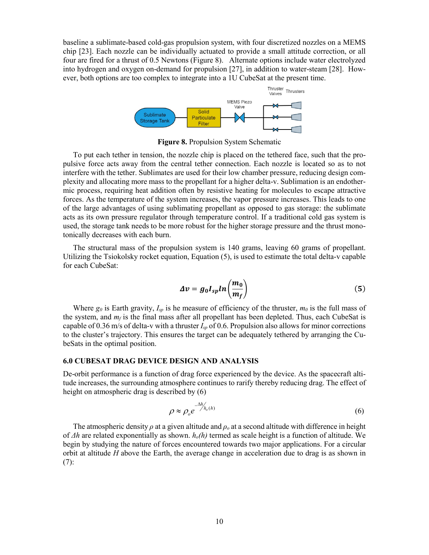baseline a sublimate-based cold-gas propulsion system, with four discretized nozzles on a MEMS chip [23]. Each nozzle can be individually actuated to provide a small attitude correction, or all four are fired for a thrust of 0.5 Newtons (Figure 8). Alternate options include water electrolyzed into hydrogen and oxygen on-demand for propulsion [27], in addition to water-steam [28]. However, both options are too complex to integrate into a 1U CubeSat at the present time.



**Figure 8.** Propulsion System Schematic

To put each tether in tension, the nozzle chip is placed on the tethered face, such that the propulsive force acts away from the central tether connection. Each nozzle is located so as to not interfere with the tether. Sublimates are used for their low chamber pressure, reducing design complexity and allocating more mass to the propellant for a higher delta-v. Sublimation is an endothermic process, requiring heat addition often by resistive heating for molecules to escape attractive forces. As the temperature of the system increases, the vapor pressure increases. This leads to one of the large advantages of using sublimating propellant as opposed to gas storage: the sublimate acts as its own pressure regulator through temperature control. If a traditional cold gas system is used, the storage tank needs to be more robust for the higher storage pressure and the thrust monotonically decreases with each burn.

The structural mass of the propulsion system is 140 grams, leaving 60 grams of propellant. Utilizing the Tsiokolsky rocket equation, Equation (5), is used to estimate the total delta-v capable for each CubeSat:

$$
\Delta v = g_0 I_{sp} ln \left( \frac{m_0}{m_f} \right) \tag{5}
$$

Where  $g_0$  is Earth gravity,  $I_{sp}$  is he measure of efficiency of the thruster,  $m_0$  is the full mass of the system, and  $m_f$  is the final mass after all propellant has been depleted. Thus, each CubeSat is capable of 0.36 m/s of delta-v with a thruster *Isp* of 0.6. Propulsion also allows for minor corrections to the cluster's trajectory. This ensures the target can be adequately tethered by arranging the CubeSats in the optimal position.

### **6.0 CUBESAT DRAG DEVICE DESIGN AND ANALYSIS**

De-orbit performance is a function of drag force experienced by the device. As the spacecraft altitude increases, the surrounding atmosphere continues to rarify thereby reducing drag. The effect of height on atmospheric drag is described by (6)

$$
\rho \approx \rho_o e^{-\Delta h'_{h_o(h)}} \tag{6}
$$

The atmospheric density *ρ* at a given altitude and *ρ<sup>o</sup>* at a second altitude with difference in height of *Δh* are related exponentially as shown. *ho(h)* termed as scale height is a function of altitude. We begin by studying the nature of forces encountered towards two major applications. For a circular orbit at altitude *H* above the Earth, the average change in acceleration due to drag is as shown in (7):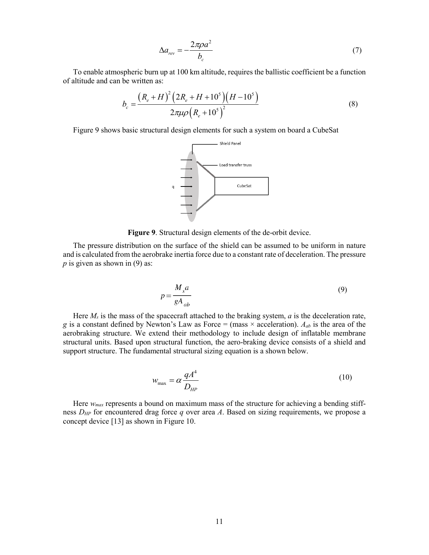$$
\Delta a_{rev} = -\frac{2\pi \rho a^2}{b_c} \tag{7}
$$

To enable atmospheric burn up at 100 km altitude, requires the ballistic coefficient be a function of altitude and can be written as:

$$
b_c = \frac{\left(R_e + H\right)^2 \left(2R_e + H + 10^5\right) \left(H - 10^5\right)}{2\pi\mu\rho \left(R_e + 10^5\right)^2}
$$
\n(8)

Figure 9 shows basic structural design elements for such a system on board a CubeSat



**Figure 9**. Structural design elements of the de-orbit device.

The pressure distribution on the surface of the shield can be assumed to be uniform in nature and is calculated from the aerobrake inertia force due to a constant rate of deceleration. The pressure  *is given as shown in (9) as:* 

$$
p = \frac{M_s a}{gA_{ab}}
$$
 (9)

Here *Ms* is the mass of the spacecraft attached to the braking system, *a* is the deceleration rate, *g* is a constant defined by Newton's Law as Force = (mass  $\times$  acceleration).  $A_{ab}$  is the area of the aerobraking structure. We extend their methodology to include design of inflatable membrane structural units. Based upon structural function, the aero-braking device consists of a shield and support structure. The fundamental structural sizing equation is a shown below.

$$
w_{\text{max}} = \alpha \frac{qA^4}{D_{HP}}
$$
 (10)

Here *wmax* represents a bound on maximum mass of the structure for achieving a bending stiffness *DHP* for encountered drag force *q* over area *A*. Based on sizing requirements, we propose a concept device [13] as shown in Figure 10.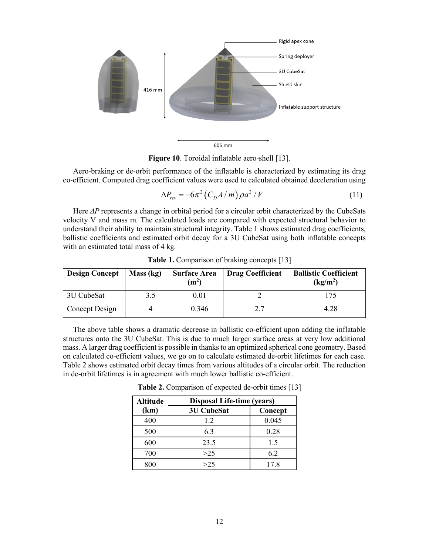

**Figure 10**. Toroidal inflatable aero-shell [13].

Aero-braking or de-orbit performance of the inflatable is characterized by estimating its drag co-efficient. Computed drag coefficient values were used to calculated obtained deceleration using

$$
\Delta P_{rev} = -6\pi^2 \left( C_D A / m \right) \rho a^2 / V \tag{11}
$$

Here *ΔP* represents a change in orbital period for a circular orbit characterized by the CubeSats velocity V and mass m. The calculated loads are compared with expected structural behavior to understand their ability to maintain structural integrity. Table 1 shows estimated drag coefficients, ballistic coefficients and estimated orbit decay for a 3U CubeSat using both inflatable concepts with an estimated total mass of 4 kg.

| <b>Design Concept</b> | Mass (kg) | <b>Surface Area</b><br>(m <sup>2</sup> ) | <b>Drag Coefficient</b> | <b>Ballistic Coefficient</b><br>(kg/m <sup>2</sup> ) |
|-----------------------|-----------|------------------------------------------|-------------------------|------------------------------------------------------|
| 3U CubeSat            | 3.5       | 0.01                                     |                         | 175                                                  |
| Concept Design        |           | 0.346                                    | າ 7                     | 4.28                                                 |

**Table 1.** Comparison of braking concepts [13]

The above table shows a dramatic decrease in ballistic co-efficient upon adding the inflatable structures onto the 3U CubeSat. This is due to much larger surface areas at very low additional mass. A larger drag coefficient is possible in thanks to an optimized spherical cone geometry. Based on calculated co-efficient values, we go on to calculate estimated de-orbit lifetimes for each case. Table 2 shows estimated orbit decay times from various altitudes of a circular orbit. The reduction in de-orbit lifetimes is in agreement with much lower ballistic co-efficient.

| <b>Altitude</b> | Disposal Life-time (years) |         |  |
|-----------------|----------------------------|---------|--|
| (km)            | <b>3U CubeSat</b>          | Concept |  |
| 400             | 1.2                        | 0.045   |  |
| 500             | 6.3                        | 0.28    |  |
| 600             | 23.5                       | 1.5     |  |
| 700             | >25                        | 6.2     |  |
|                 | >25                        | 17.8    |  |

**Table 2.** Comparison of expected de-orbit times [13]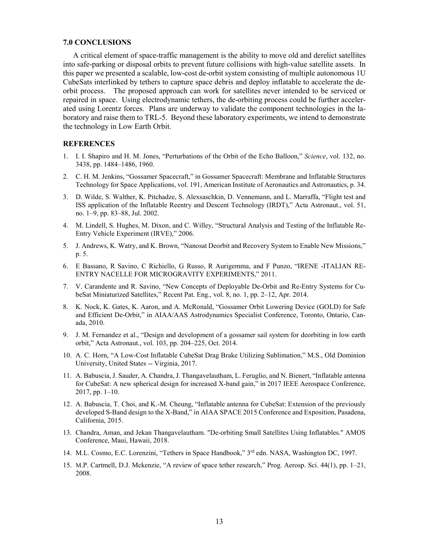#### **7.0 CONCLUSIONS**

A critical element of space-traffic management is the ability to move old and derelict satellites into safe-parking or disposal orbits to prevent future collisions with high-value satellite assets. In this paper we presented a scalable, low-cost de-orbit system consisting of multiple autonomous 1U CubeSats interlinked by tethers to capture space debris and deploy inflatable to accelerate the deorbit process. The proposed approach can work for satellites never intended to be serviced or repaired in space. Using electrodynamic tethers, the de-orbiting process could be further accelerated using Lorentz forces. Plans are underway to validate the component technologies in the laboratory and raise them to TRL-5. Beyond these laboratory experiments, we intend to demonstrate the technology in Low Earth Orbit.

### **REFERENCES**

- 1. I. I. Shapiro and H. M. Jones, "Perturbations of the Orbit of the Echo Balloon," *Science*, vol. 132, no. 3438, pp. 1484–1486, 1960.
- 2. C. H. M. Jenkins, "Gossamer Spacecraft," in Gossamer Spacecraft: Membrane and Inflatable Structures Technology for Space Applications, vol. 191, American Institute of Aeronautics and Astronautics, p. 34.
- 3. D. Wilde, S. Walther, K. Pitchadze, S. Alexsaschkin, D. Vennemann, and L. Marraffa, "Flight test and ISS application of the Inflatable Reentry and Descent Technology (IRDT)," Acta Astronaut., vol. 51, no. 1–9, pp. 83–88, Jul. 2002.
- 4. M. Lindell, S. Hughes, M. Dixon, and C. Willey, "Structural Analysis and Testing of the Inflatable Re-Entry Vehicle Experiment (IRVE)," 2006.
- 5. J. Andrews, K. Watry, and K. Brown, "Nanosat Deorbit and Recovery System to Enable New Missions," p. 5.
- 6. E Bassano, R Savino, C Richiello, G Russo, R Aurigemma, and F Punzo, "IRENE -ITALIAN RE-ENTRY NACELLE FOR MICROGRAVITY EXPERIMENTS," 2011.
- 7. V. Carandente and R. Savino, "New Concepts of Deployable De-Orbit and Re-Entry Systems for CubeSat Miniaturized Satellites," Recent Pat. Eng., vol. 8, no. 1, pp. 2–12, Apr. 2014.
- 8. K. Nock, K. Gates, K. Aaron, and A. McRonald, "Gossamer Orbit Lowering Device (GOLD) for Safe and Efficient De-Orbit," in AIAA/AAS Astrodynamics Specialist Conference, Toronto, Ontario, Canada, 2010.
- 9. J. M. Fernandez et al., "Design and development of a gossamer sail system for deorbiting in low earth orbit," Acta Astronaut., vol. 103, pp. 204–225, Oct. 2014.
- 10. A. C. Horn, "A Low-Cost Inflatable CubeSat Drag Brake Utilizing Sublimation," M.S., Old Dominion University, United States -- Virginia, 2017.
- 11. A. Babuscia, J. Sauder, A. Chandra, J. Thangavelautham, L. Feruglio, and N. Bienert, "Inflatable antenna for CubeSat: A new spherical design for increased X-band gain," in 2017 IEEE Aerospace Conference, 2017, pp. 1–10.
- 12. A. Babuscia, T. Choi, and K.-M. Cheung, "Inflatable antenna for CubeSat: Extension of the previously developed S-Band design to the X-Band," in AIAA SPACE 2015 Conference and Exposition, Pasadena, California, 2015.
- 13. Chandra, Aman, and Jekan Thangavelautham. "De-orbiting Small Satellites Using Inflatables." AMOS Conference, Maui, Hawaii, 2018.
- 14. M.L. Cosmo, E.C. Lorenzini, "Tethers in Space Handbook," 3rd edn. NASA, Washington DC, 1997.
- 15. M.P. Cartmell, D.J. Mckenzie, "A review of space tether research," Prog. Aerosp. Sci. 44(1), pp. 1–21, 2008.